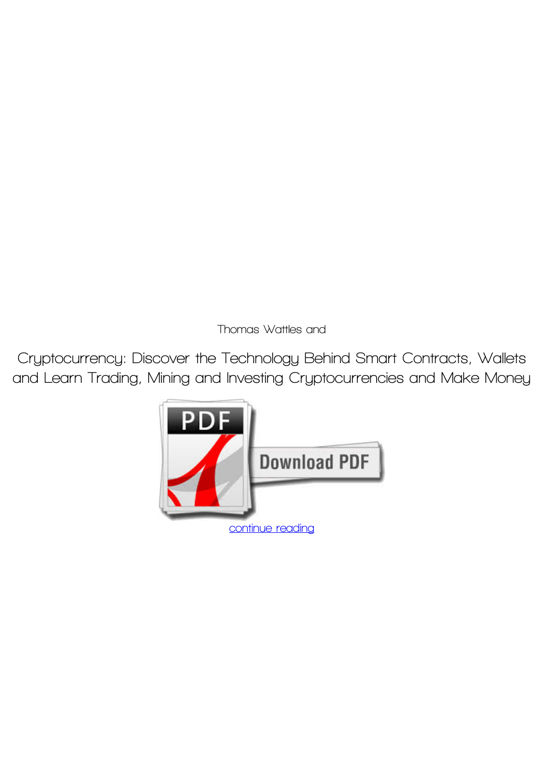*Thomas Wattles and*

**Cryptocurrency: Discover the Technology Behind Smart Contracts, Wallets and Learn Trading, Mining and Investing Cryptocurrencies and Make Money**

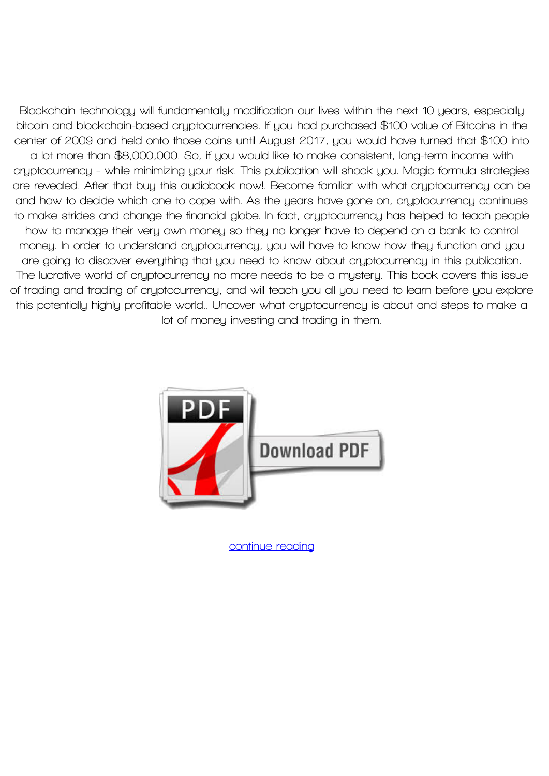**Blockchain technology will fundamentally modification our lives within the next 10 years, especially bitcoin and blockchain-based cryptocurrencies. If you had purchased \$100 value of Bitcoins in the center of 2009 and held onto those coins until August 2017, you would have turned that \$100 into a lot more than \$8,000,000. So, if you would like to make consistent, long-term income with cryptocurrency - while minimizing your risk. This publication will shock you. Magic formula strategies are revealed. After that buy this audiobook now!. Become familiar with what cryptocurrency can be and how to decide which one to cope with. As the years have gone on, cryptocurrency continues to make strides and change the financial globe. In fact, cryptocurrency has helped to teach people how to manage their very own money so they no longer have to depend on a bank to control money. In order to understand cryptocurrency, you will have to know how they function and you are going to discover everything that you need to know about cryptocurrency in this publication. The lucrative world of cryptocurrency no more needs to be a mystery. This book covers this issue of trading and trading of cryptocurrency, and will teach you all you need to learn before you explore this potentially highly profitable world.. Uncover what cryptocurrency is about and steps to make a lot of money investing and trading in them.**



**[continue reading](http://bit.ly/2Tge8Fv)**